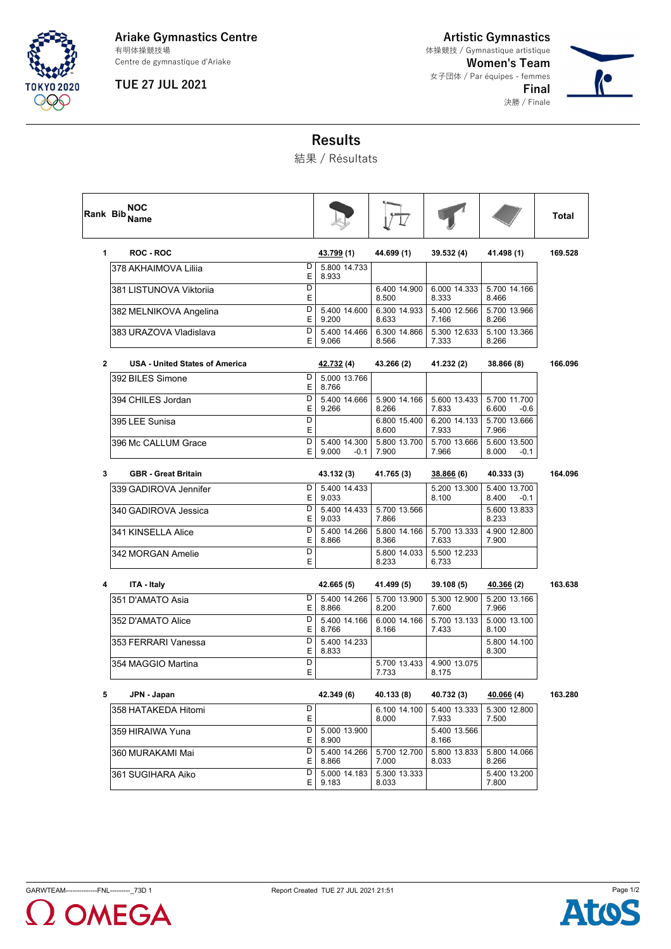

#### **Ariake Gymnastics Centre** 有明体操競技場

Centre de gymnastique d'Ariake

## **TUE 27 JUL 2021**

**Artistic Gymnastics Women's Team** 女子団体 / Par équipes - femmes **Final** 決勝 / Finale 体操競技 / Gymnastique artistique



# **Results**

結果 / Résultats

| Rank Bib     | NOC<br><b>Name</b>             |         |                                 |                       |                       |                                 | Total   |
|--------------|--------------------------------|---------|---------------------------------|-----------------------|-----------------------|---------------------------------|---------|
| 1            | <b>ROC - ROC</b>               |         | <u>43.799</u> (1)               | 44.699 (1)            | 39.532 (4)            | 41.498 (1)                      | 169.528 |
|              | 378 AKHAIMOVA Liliia           | D<br>Ε  | 5.800 14.733<br>8.933           |                       |                       |                                 |         |
|              | 381 LISTUNOVA Viktorija        | D<br>Е  |                                 | 6.400 14.900<br>8.500 | 6.000 14.333<br>8.333 | 5.700 14.166<br>8.466           |         |
|              | 382 MELNIKOVA Angelina         | D<br>E  | 5.400 14.600<br>9.200           | 6.300 14.933<br>8.633 | 5.400 12.566<br>7.166 | 5.700 13.966<br>8.266           |         |
|              | 383 URAZOVA Vladislava         | D<br>E  | 5.400 14.466<br>9.066           | 6.300 14.866<br>8.566 | 5.300 12.633<br>7.333 | 5.100 13.366<br>8.266           |         |
| $\mathbf{2}$ | USA - United States of America |         | <u>42.732</u> (4)               | 43.266 (2)            | 41.232 (2)            | 38.866 (8)                      | 166.096 |
|              | 392 BILES Simone               | D<br>E  | 5.000 13.766<br>8.766           |                       |                       |                                 |         |
|              | 394 CHILES Jordan              | D<br>Ε  | 5.400 14.666<br>9.266           | 5.900 14.166<br>8.266 | 5.600 13.433<br>7.833 | 5.700 11.700<br>6.600<br>$-0.6$ |         |
|              | 395 LEE Sunisa                 | D<br>Ε  |                                 | 6.800 15.400<br>8.600 | 6.200 14.133<br>7.933 | 5.700 13.666<br>7.966           |         |
|              | 396 Mc CALLUM Grace            | D<br>E  | 5.400 14.300<br>9.000<br>$-0.1$ | 5.800 13.700<br>7.900 | 5.700 13.666<br>7.966 | 5.600 13.500<br>8.000<br>-0.1   |         |
| 3            | <b>GBR</b> - Great Britain     |         | 43.132 (3)                      | 41.765 (3)            | 38.866 (6)            | 40.333 (3)                      | 164.096 |
|              | 339 GADIROVA Jennifer          | D<br>Е  | 5.400 14.433<br>9.033           |                       | 5.200 13.300<br>8.100 | 5.400 13.700<br>8.400<br>-0.1   |         |
|              | 340 GADIROVA Jessica           | D<br>Ε  | 5.400 14.433<br>9.033           | 5.700 13.566<br>7.866 |                       | 5.600 13.833<br>8.233           |         |
|              | 341 KINSELLA Alice             | D<br>Ε  | 5.400 14.266<br>8.866           | 5.800 14.166<br>8.366 | 5.700 13.333<br>7.633 | 4.900 12.800<br>7.900           |         |
|              | 342 MORGAN Amelie              | D<br>E  |                                 | 5.800 14.033<br>8.233 | 5.500 12.233<br>6.733 |                                 |         |
| 4            | ITA - Italy                    |         | 42.665 (5)                      | 41.499 (5)            | 39.108 (5)            | 40.366 <sub>(2)</sub>           | 163.638 |
|              | 351 D'AMATO Asia               | D<br>Ε  | 5.400 14.266<br>8.866           | 5.700 13.900<br>8.200 | 5.300 12.900<br>7.600 | 5.200 13.166<br>7.966           |         |
|              | 352 D'AMATO Alice              | D<br>Е  | 5.400 14.166<br>8.766           | 6.000 14.166<br>8.166 | 5.700 13.133<br>7.433 | 5.000 13.100<br>8.100           |         |
|              | 353 FERRARI Vanessa            | D<br>E  | 5.400 14.233<br>8.833           |                       |                       | 5.800 14.100<br>8.300           |         |
|              | 354 MAGGIO Martina             | D<br>E  |                                 | 5.700 13.433<br>7.733 | 4.900 13.075<br>8.175 |                                 |         |
| 5            | JPN - Japan                    |         | 42.349 (6)                      | 40.133 (8)            | 40.732 (3)            | 40.066 (4)                      | 163.280 |
|              | 358 HATAKEDA Hitomi            | D<br>E  |                                 | 6.100 14.100<br>8.000 | 5.400 13.333<br>7.933 | 5.300 12.800<br>7.500           |         |
|              | 359 HIRAIWA Yuna               | D<br>E. | 5.000 13.900<br>8.900           |                       | 5.400 13.566<br>8.166 |                                 |         |
|              | 360 MURAKAMI Mai               | D<br>E  | 5.400 14.266<br>8.866           | 5.700 12.700<br>7.000 | 5.800 13.833<br>8.033 | 5.800 14.066<br>8.266           |         |
|              | 361 SUGIHARA Aiko              | D<br>E  | 5.000 14.183<br>9.183           | 5.300 13.333<br>8.033 |                       | 5.400 13.200<br>7.800           |         |